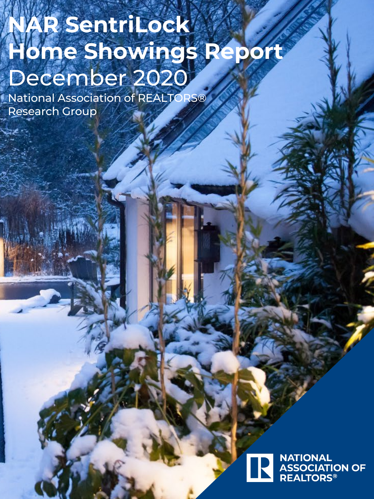# **NAR SentriLock Home Showings Report** December 2020

National Association of REALTORS® Research Group

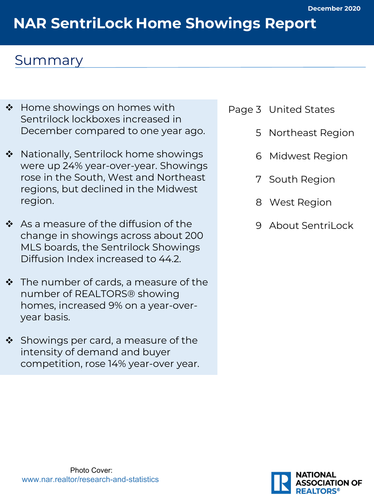# **NAR SentriLock Home Showings Report**

### Summary

- ❖ Home showings on homes with Sentrilock lockboxes increased in December compared to one year ago.
- ❖ Nationally, Sentrilock home showings were up 24% year-over-year. Showings rose in the South, West and Northeast regions, but declined in the Midwest region.
- $\div$  As a measure of the diffusion of the change in showings across about 200 MLS boards, the Sentrilock Showings Diffusion Index increased to 44.2.
- $\cdot \cdot$  The number of cards, a measure of the number of REALTORS® showing homes, increased 9% on a year-overyear basis.
- $\cdot$  Showings per card, a measure of the intensity of demand and buyer competition, rose 14% year-over year.
- Page 3 United States
	- 5 Northeast Region
	- 6 Midwest Region
	- 7 South Region
	- 8 West Region
	- 9 About SentriLock

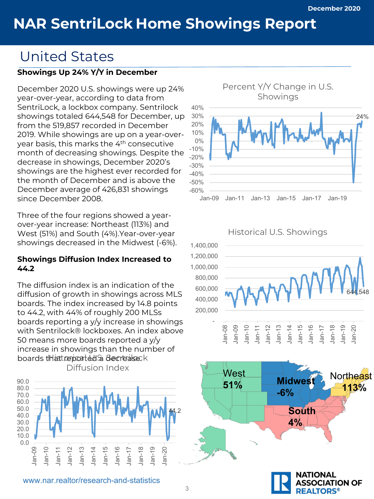### United States

#### **Showings Up 24% Y/Y in December**

December 2020 U.S. showings were up 24% year-over-year, according to data from SentriLock, a lockbox company. Sentrilock showings totaled 644,548 for December, up from the 519,857 recorded in December 2019. While showings are up on a year-overyear basis, this marks the 4th consecutive month of decreasing showings. Despite the decrease in showings, December 2020's showings are the highest ever recorded for the month of December and is above the December average of 426,831 showings since December 2008.

Three of the four regions showed a yearover-year increase: Northeast (113%) and West (51%) and South (4%).Year-over-year showings decreased in the Midwest (-6%).

#### **Showings Diffusion Index Increased to 44.2**

The diffusion index is an indication of the diffusion of growth in showings across MLS boards. The index increased by 14.8 points to 44.2, with 44% of roughly 200 MLSs boards reporting a y/y increase in showings with Sentrilock® lockboxes. An index above 50 means more boards reported a y/y increase in showings than the number of boards that reported a decrease.





Historical U.S. Showings





**REALTORS®**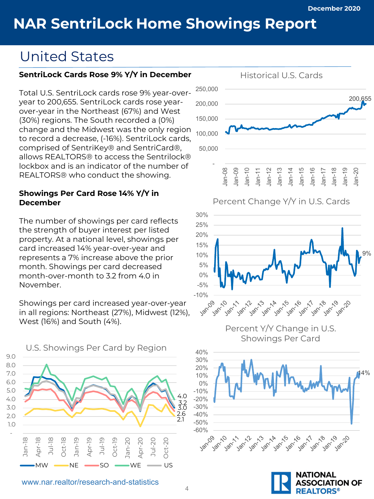### United States

#### **SentriLock Cards Rose 9% Y/Y in December**

Total U.S. SentriLock cards rose 9% year-overyear to 200,655. SentriLock cards rose yearover-year in the Northeast (67%) and West (30%) regions. The South recorded a (0%) change and the Midwest was the only region to record a decrease, (-16%). SentriLock cards, comprised of SentriKey® and SentriCard®, allows REALTORS® to access the Sentrilock® lockbox and is an indicator of the number of REALTORS® who conduct the showing.

#### **Showings Per Card Rose 14% Y/Y in December**

The number of showings per card reflects the strength of buyer interest per listed property. At a national level, showings per card increased 14% year-over-year and represents a 7% increase above the prior month. Showings per card decreased month-over-month to 3.2 from 4.0 in November.

Showings per card increased year-over-year in all regions: Northeast (27%), Midwest (12%), West (16%) and South (4%).







Percent Y/Y Change in U.S. Showings Per Card



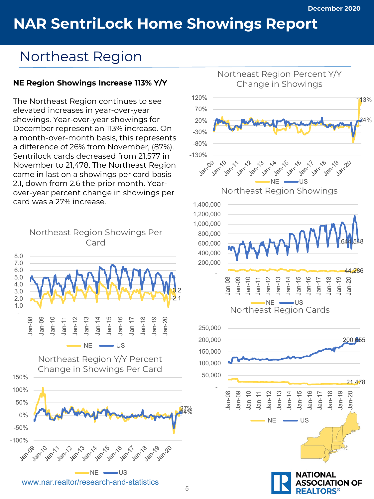### **Realt Book Home Showings Denort NAR SentriLock Home Showings Report**

### Northeast Region

### **NE Region Showings Increase 113% Y/Y**

The Northeast Region continues to see elevated increases in year-over-year showings. Year-over-year showings for December represent an 113% increase. On a month-over-month basis, this represents a difference of 26% from November, (87%). Sentrilock cards decreased from 21,577 in November to 21,478. The Northeast Region came in last on a showings per card basis 2.1, down from 2.6 the prior month. Yearover-year percent change in showings per card was a 27% increase.



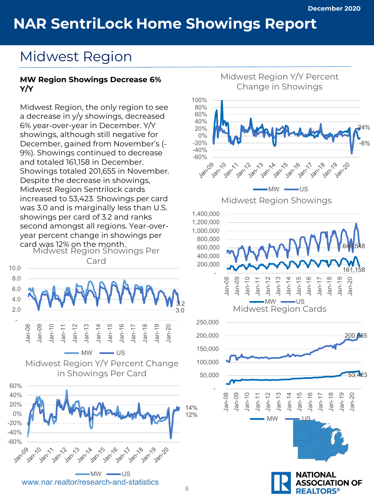### Midwest Region

#### **MW Region Showings Decrease 6% Y/Y**

Midwest Region, the only region to see a decrease in y/y showings, decreased 6% year-over-year in December. Y/Y showings, although still negative for December, gained from November's (- 9%). Showings continued to decrease and totaled 161,158 in December. Showings totaled 201,655 in November. Despite the decrease in showings, Midwest Region Sentrilock cards increased to 53,423. Showings per card was 3.0 and is marginally less than U.S. showings per card of 3.2 and ranks second amongst all regions. Year-overyear percent change in showings per card was 12% on the month. Midwest Region Showings Per

Card





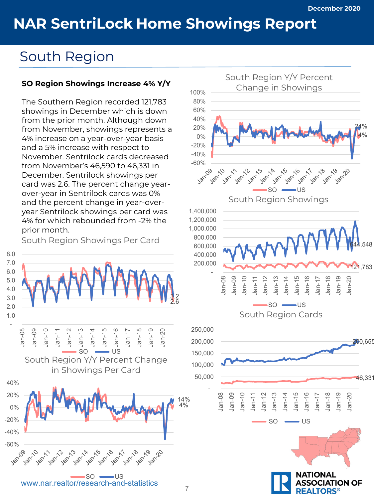### South Region

#### **SO Region Showings Increase 4% Y/Y**

The Southern Region recorded 121,783 showings in December which is down from the prior month. Although down from November, showings represents a 4% increase on a year-over-year basis and a 5% increase with respect to November. Sentrilock cards decreased from November's 46,590 to 46,331 in December. Sentrilock showings per card was 2.6. The percent change yearover-year in Sentrilock cards was 0% and the percent change in year-overyear Sentrilock showings per card was 4% for which rebounded from -2% the prior month.

South Region Showings Per Card



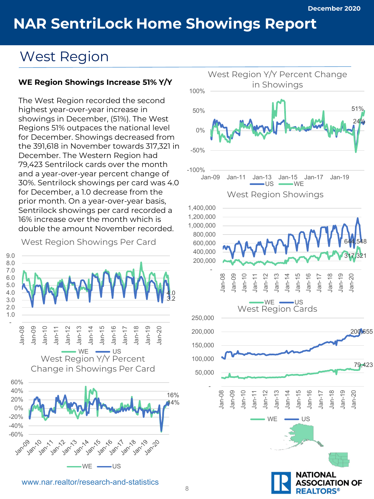### West Region

#### **WE Region Showings Increase 51% Y/Y**

The West Region recorded the second highest year-over-year increase in showings in December, (51%). The West Regions 51% outpaces the national level for December. Showings decreased from the 391,618 in November towards 317,321 in December. The Western Region had 79,423 Sentrilock cards over the month and a year-over-year percent change of 30%. Sentrilock showings per card was 4.0 for December, a 1.0 decrease from the prior month. On a year-over-year basis, Sentrilock showings per card recorded a 16% increase over the month which is double the amount November recorded.

West Region Showings Per Card



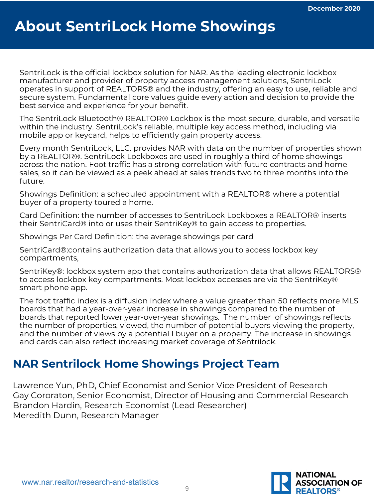## **About SentriLock Home Showings**

SentriLock is the official lockbox solution for NAR. As the leading electronic lockbox manufacturer and provider of property access management solutions, SentriLock operates in support of REALTORS® and the industry, offering an easy to use, reliable and secure system. Fundamental core values guide every action and decision to provide the best service and experience for your benefit.

The SentriLock Bluetooth® REALTOR® Lockbox is the most secure, durable, and versatile within the industry. SentriLock's reliable, multiple key access method, including via mobile app or keycard, helps to efficiently gain property access.

Every month SentriLock, LLC. provides NAR with data on the number of properties shown by a REALTOR®. SentriLock Lockboxes are used in roughly a third of home showings across the nation. Foot traffic has a strong correlation with future contracts and home sales, so it can be viewed as a peek ahead at sales trends two to three months into the future.

Showings Definition: a scheduled appointment with a REALTOR® where a potential buyer of a property toured a home.

Card Definition: the number of accesses to SentriLock Lockboxes a REALTOR® inserts their SentriCard® into or uses their SentriKey® to gain access to properties.

Showings Per Card Definition: the average showings per card

SentriCard®:contains authorization data that allows you to access lockbox key compartments,

SentriKey®: lockbox system app that contains authorization data that allows REALTORS® to access lockbox key compartments. Most lockbox accesses are via the SentriKey® smart phone app.

The foot traffic index is a diffusion index where a value greater than 50 reflects more MLS boards that had a year-over-year increase in showings compared to the number of boards that reported lower year-over-year showings. The number of showings reflects the number of properties, viewed, the number of potential buyers viewing the property, and the number of views by a potential l buyer on a property. The increase in showings and cards can also reflect increasing market coverage of Sentrilock.

### **NAR Sentrilock Home Showings Project Team**

Lawrence Yun, PhD, Chief Economist and Senior Vice President of Research Gay Cororaton, Senior Economist, Director of Housing and Commercial Research Brandon Hardin, Research Economist (Lead Researcher) Meredith Dunn, Research Manager